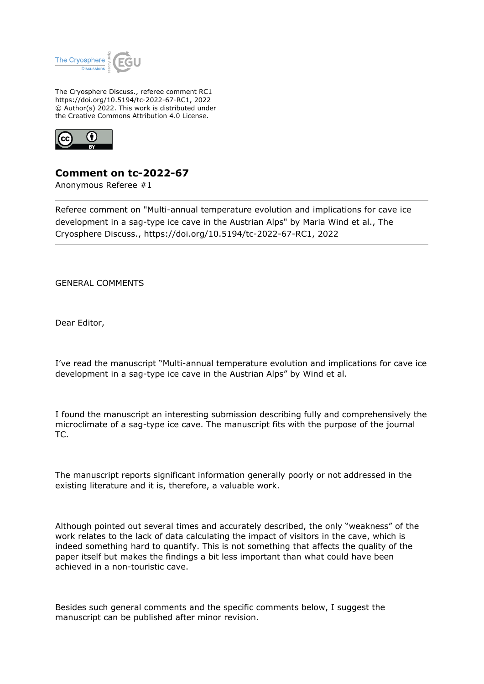

The Cryosphere Discuss., referee comment RC1 https://doi.org/10.5194/tc-2022-67-RC1, 2022 © Author(s) 2022. This work is distributed under the Creative Commons Attribution 4.0 License.



## **Comment on tc-2022-67**

Anonymous Referee #1

Referee comment on "Multi-annual temperature evolution and implications for cave ice development in a sag-type ice cave in the Austrian Alps" by Maria Wind et al., The Cryosphere Discuss., https://doi.org/10.5194/tc-2022-67-RC1, 2022

GENERAL COMMENTS

Dear Editor,

I've read the manuscript "Multi-annual temperature evolution and implications for cave ice development in a sag-type ice cave in the Austrian Alps" by Wind et al.

I found the manuscript an interesting submission describing fully and comprehensively the microclimate of a sag-type ice cave. The manuscript fits with the purpose of the journal TC.

The manuscript reports significant information generally poorly or not addressed in the existing literature and it is, therefore, a valuable work.

Although pointed out several times and accurately described, the only "weakness" of the work relates to the lack of data calculating the impact of visitors in the cave, which is indeed something hard to quantify. This is not something that affects the quality of the paper itself but makes the findings a bit less important than what could have been achieved in a non-touristic cave.

Besides such general comments and the specific comments below, I suggest the manuscript can be published after minor revision.